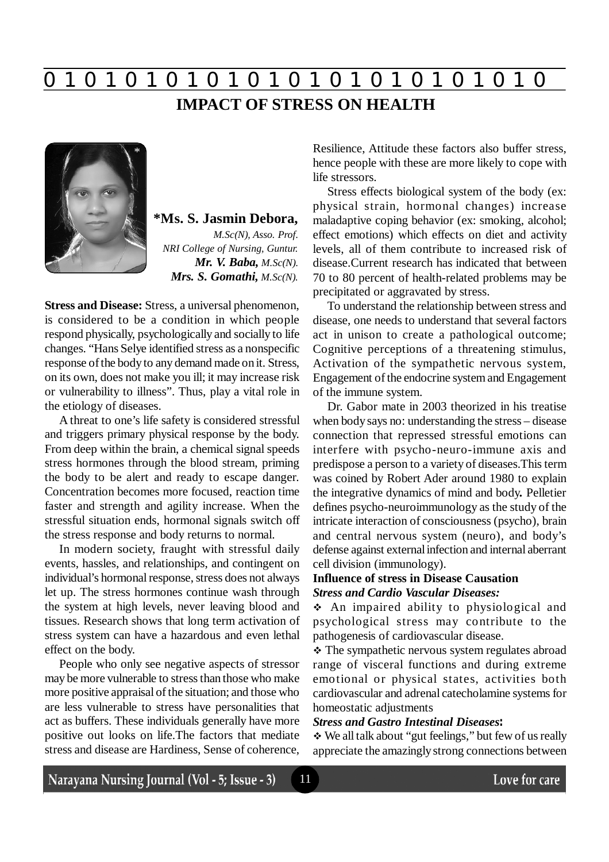**IMPACT OF STRESS ON HEALTH**



# **\*Ms. S. Jasmin Debora,**

*M.Sc(N), Asso. Prof. NRI College of Nursing, Guntur. Mr. V. Baba, M.Sc(N). Mrs. S. Gomathi, M.Sc(N).*

**Stress and Disease:** Stress, a universal phenomenon, is considered to be a condition in which people respond physically, psychologically and socially to life changes. "Hans Selye identified stress as a nonspecific response of the body to any demand made on it. Stress, on its own, does not make you ill; it may increase risk or vulnerability to illness". Thus, play a vital role in the etiology of diseases.

A threat to one's life safety is considered stressful and triggers primary physical response by the body. From deep within the brain, a chemical signal speeds stress hormones through the blood stream, priming the body to be alert and ready to escape danger. Concentration becomes more focused, reaction time faster and strength and agility increase. When the stressful situation ends, hormonal signals switch off the stress response and body returns to normal.

In modern society, fraught with stressful daily events, hassles, and relationships, and contingent on individual's hormonal response, stress does not always let up. The stress hormones continue wash through the system at high levels, never leaving blood and tissues. Research shows that long term activation of stress system can have a hazardous and even lethal effect on the body.

People who only see negative aspects of stressor may be more vulnerable to stress than those who make more positive appraisal of the situation; and those who are less vulnerable to stress have personalities that act as buffers. These individuals generally have more positive out looks on life.The factors that mediate stress and disease are Hardiness, Sense of coherence, Resilience, Attitude these factors also buffer stress, hence people with these are more likely to cope with life stressors.

Stress effects biological system of the body (ex: physical strain, hormonal changes) increase maladaptive coping behavior (ex: smoking, alcohol; effect emotions) which effects on diet and activity levels, all of them contribute to increased risk of disease.Current research has indicated that between 70 to 80 percent of health-related problems may be precipitated or aggravated by stress.

To understand the relationship between stress and disease, one needs to understand that several factors act in unison to create a pathological outcome; Cognitive perceptions of a threatening stimulus, Activation of the sympathetic nervous system, Engagement of the endocrine system and Engagement of the immune system.

Dr. Gabor mate in 2003 theorized in his treatise when body says no: understanding the stress – disease connection that repressed stressful emotions can interfere with psycho-neuro-immune axis and predispose a person to a variety of diseases.This term was coined by Robert Ader around 1980 to explain the integrative dynamics of mind and body*.* Pelletier defines psycho-neuroimmunology as the study of the intricate interaction of consciousness (psycho), brain and central nervous system (neuro), and body's defense against external infection and internal aberrant cell division (immunology).

# **Influence of stress in Disease Causation** *Stress and Cardio Vascular Diseases:*

 An impaired ability to physiological and psychological stress may contribute to the pathogenesis of cardiovascular disease.

• The sympathetic nervous system regulates abroad range of visceral functions and during extreme emotional or physical states, activities both cardiovascular and adrenal catecholamine systems for homeostatic adjustments

# *Stress and Gastro Intestinal Diseases:*

11

 We all talk about "gut feelings," but few of us really appreciate the amazingly strong connections between

Narayana Nursing Journal (Vol - 5; Issue - 3)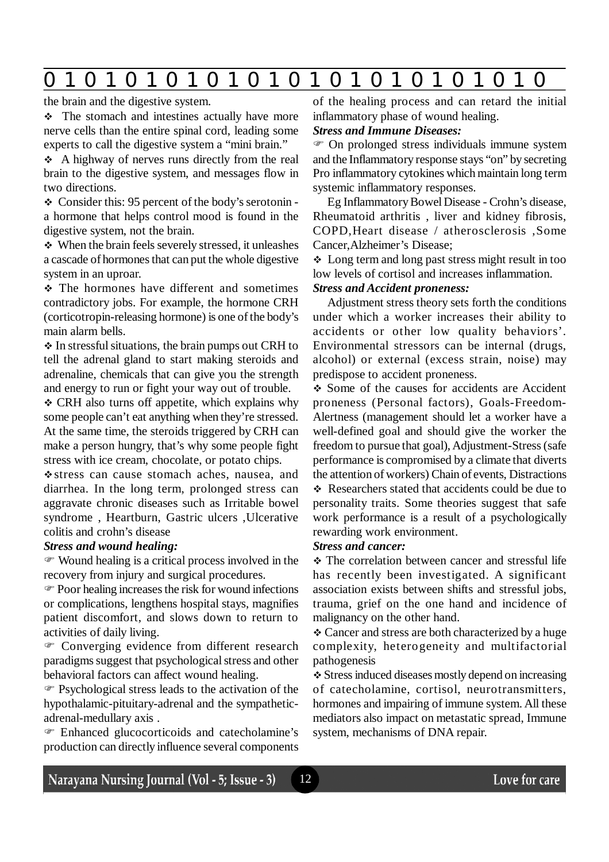# the brain and the digestive system.

• The stomach and intestines actually have more nerve cells than the entire spinal cord, leading some experts to call the digestive system a "mini brain."

 A highway of nerves runs directly from the real brain to the digestive system, and messages flow in two directions.

 Consider this: 95 percent of the body's serotonin a hormone that helps control mood is found in the digestive system, not the brain.

 When the brain feels severely stressed, it unleashes a cascade of hormones that can put the whole digestive system in an uproar.

 The hormones have different and sometimes contradictory jobs. For example, the hormone CRH (corticotropin-releasing hormone) is one of the body's main alarm bells.

 $\triangle$  In stressful situations, the brain pumps out CRH to tell the adrenal gland to start making steroids and adrenaline, chemicals that can give you the strength and energy to run or fight your way out of trouble.

 CRH also turns off appetite, which explains why some people can't eat anything when they're stressed. At the same time, the steroids triggered by CRH can make a person hungry, that's why some people fight stress with ice cream, chocolate, or potato chips.

stress can cause stomach aches, nausea, and diarrhea. In the long term, prolonged stress can aggravate chronic diseases such as Irritable bowel syndrome , Heartburn, Gastric ulcers ,Ulcerative colitis and crohn's disease

# *Stress and wound healing:*

 Wound healing is a critical process involved in the recovery from injury and surgical procedures.

 Poor healing increases the risk for wound infections or complications, lengthens hospital stays, magnifies patient discomfort, and slows down to return to activities of daily living.

 Converging evidence from different research paradigms suggest that psychological stress and other behavioral factors can affect wound healing.

 Psychological stress leads to the activation of the hypothalamic-pituitary-adrenal and the sympatheticadrenal-medullary axis .

 Enhanced glucocorticoids and catecholamine's production can directly influence several components of the healing process and can retard the initial inflammatory phase of wound healing.

# *Stress and Immune Diseases:*

 On prolonged stress individuals immune system and the Inflammatory response stays "on" by secreting Pro inflammatory cytokines which maintain long term systemic inflammatory responses.

Eg Inflammatory Bowel Disease - Crohn's disease, Rheumatoid arthritis , liver and kidney fibrosis, COPD,Heart disease / atherosclerosis ,Some Cancer,Alzheimer's Disease;

 Long term and long past stress might result in too low levels of cortisol and increases inflammation.

# *Stress and Accident proneness:*

Adjustment stress theory sets forth the conditions under which a worker increases their ability to accidents or other low quality behaviors'. Environmental stressors can be internal (drugs, alcohol) or external (excess strain, noise) may predispose to accident proneness.

• Some of the causes for accidents are Accident proneness (Personal factors), Goals-Freedom-Alertness (management should let a worker have a well-defined goal and should give the worker the freedom to pursue that goal), Adjustment-Stress (safe performance is compromised by a climate that diverts the attention of workers) Chain of events, Distractions ❖ Researchers stated that accidents could be due to personality traits. Some theories suggest that safe work performance is a result of a psychologically rewarding work environment.

### *Stress and cancer:*

 The correlation between cancer and stressful life has recently been investigated. A significant association exists between shifts and stressful jobs, trauma, grief on the one hand and incidence of malignancy on the other hand.

 Cancer and stress are both characterized by a huge complexity, heterogeneity and multifactorial pathogenesis

 Stress induced diseases mostly depend on increasing of catecholamine, cortisol, neurotransmitters, hormones and impairing of immune system. All these mediators also impact on metastatic spread, Immune system, mechanisms of DNA repair.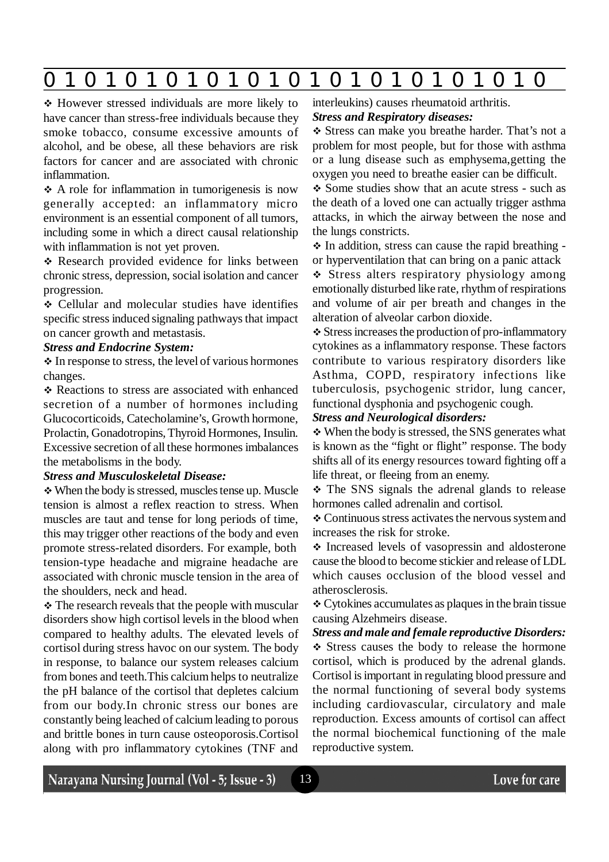However stressed individuals are more likely to have cancer than stress-free individuals because they smoke tobacco, consume excessive amounts of alcohol, and be obese, all these behaviors are risk factors for cancer and are associated with chronic inflammation.

 A role for inflammation in tumorigenesis is now generally accepted: an inflammatory micro environment is an essential component of all tumors, including some in which a direct causal relationship with inflammation is not yet proven.

\* Research provided evidence for links between chronic stress, depression, social isolation and cancer progression.

 Cellular and molecular studies have identifies specific stress induced signaling pathways that impact on cancer growth and metastasis.

#### *Stress and Endocrine System:*

 $\triangle$  In response to stress, the level of various hormones changes.

\* Reactions to stress are associated with enhanced secretion of a number of hormones including Glucocorticoids, Catecholamine's, Growth hormone, Prolactin, Gonadotropins, Thyroid Hormones, Insulin. Excessive secretion of all these hormones imbalances the metabolisms in the body.

#### *Stress and Musculoskeletal Disease:*

When the body is stressed, muscles tense up. Muscle tension is almost a reflex reaction to stress. When muscles are taut and tense for long periods of time, this may trigger other reactions of the body and even promote stress-related disorders. For example, both tension-type headache and migraine headache are associated with chronic muscle tension in the area of the shoulders, neck and head.

• The research reveals that the people with muscular disorders show high cortisol levels in the blood when compared to healthy adults. The elevated levels of cortisol during stress havoc on our system. The body in response, to balance our system releases calcium from bones and teeth.This calcium helps to neutralize the pH balance of the cortisol that depletes calcium from our body.In chronic stress our bones are constantly being leached of calcium leading to porous and brittle bones in turn cause osteoporosis.Cortisol along with pro inflammatory cytokines (TNF and

# interleukins) causes rheumatoid arthritis. *Stress and Respiratory diseases:*

 Stress can make you breathe harder. That's not a problem for most people, but for those with asthma or a lung disease such as emphysema,getting the oxygen you need to breathe easier can be difficult.

• Some studies show that an acute stress - such as the death of a loved one can actually trigger asthma attacks, in which the airway between the nose and the lungs constricts.

 $\div$  In addition, stress can cause the rapid breathing or hyperventilation that can bring on a panic attack

 $\div$  Stress alters respiratory physiology among emotionally disturbed like rate, rhythm of respirations and volume of air per breath and changes in the alteration of alveolar carbon dioxide.

 Stress increases the production of pro-inflammatory cytokines as a inflammatory response. These factors contribute to various respiratory disorders like Asthma, COPD, respiratory infections like tuberculosis, psychogenic stridor, lung cancer, functional dysphonia and psychogenic cough.

### *Stress and Neurological disorders:*

 When the body is stressed, the SNS generates what is known as the "fight or flight" response. The body shifts all of its energy resources toward fighting off a life threat, or fleeing from an enemy.

• The SNS signals the adrenal glands to release hormones called adrenalin and cortisol.

 Continuous stress activates the nervous system and increases the risk for stroke.

 Increased levels of vasopressin and aldosterone cause the blood to become stickier and release of LDL which causes occlusion of the blood vessel and atherosclerosis.

 Cytokines accumulates as plaques in the brain tissue causing Alzehmeirs disease.

*Stress and male and female reproductive Disorders:* Stress causes the body to release the hormone cortisol, which is produced by the adrenal glands. Cortisol is important in regulating blood pressure and the normal functioning of several body systems including cardiovascular, circulatory and male reproduction. Excess amounts of cortisol can affect the normal biochemical functioning of the male reproductive system.

# Narayana Nursing Journal (Vol - 5; Issue - 3)